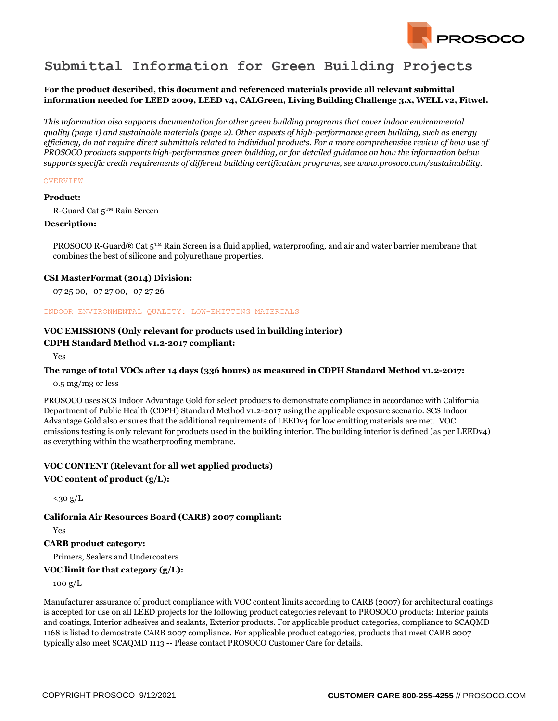

# **Submittal Information for Green Building Projects**

## **For the product described, this document and referenced materials provide all relevant submittal information needed for LEED 2009, LEED v4, CALGreen, Living Building Challenge 3.x, WELL v2, Fitwel.**

*This information also supports documentation for other green building programs that cover indoor environmental quality (page 1) and sustainable materials (page 2). Other aspects of high-performance green building, such as energy efficiency, do not require direct submittals related to individual products. For a more comprehensive review of how use of PROSOCO products supports high-performance green building, or for detailed guidance on how the information below supports specific credit requirements of different building certification programs, see www.prosoco.com/sustainability.*

#### **OVERVIEW**

#### **Product:**

R-Guard Cat 5™ Rain Screen

#### **Description:**

PROSOCO R-Guard® Cat 5™ Rain Screen is a fluid applied, waterproofing, and air and water barrier membrane that combines the best of silicone and polyurethane properties.

#### **CSI MasterFormat (2014) Division:**

07 25 00, 07 27 00, 07 27 26

#### INDOOR ENVIRONMENTAL QUALITY: LOW-EMITTING MATERIALS

# **VOC EMISSIONS (Only relevant for products used in building interior)**

### **CDPH Standard Method v1.2-2017 compliant:**

Yes

#### **The range of total VOCs after 14 days (336 hours) as measured in CDPH Standard Method v1.2-2017:**

0.5 mg/m3 or less

PROSOCO uses SCS Indoor Advantage Gold for select products to demonstrate compliance in accordance with California Department of Public Health (CDPH) Standard Method v1.2-2017 using the applicable exposure scenario. SCS Indoor Advantage Gold also ensures that the additional requirements of LEEDv4 for low emitting materials are met. VOC emissions testing is only relevant for products used in the building interior. The building interior is defined (as per LEEDv4) as everything within the weatherproofing membrane.

# **VOC CONTENT (Relevant for all wet applied products)**

## **VOC content of product (g/L):**

 $<sub>30 g/L</sub>$ </sub>

#### **California Air Resources Board (CARB) 2007 compliant:**

Yes

## **CARB product category:**

Primers, Sealers and Undercoaters

## **VOC limit for that category (g/L):**

100 g/L

Manufacturer assurance of product compliance with VOC content limits according to CARB (2007) for architectural coatings is accepted for use on all LEED projects for the following product categories relevant to PROSOCO products: Interior paints and coatings, Interior adhesives and sealants, Exterior products. For applicable product categories, compliance to SCAQMD 1168 is listed to demostrate CARB 2007 compliance. For applicable product categories, products that meet CARB 2007 typically also meet SCAQMD 1113 -- Please contact PROSOCO Customer Care for details.